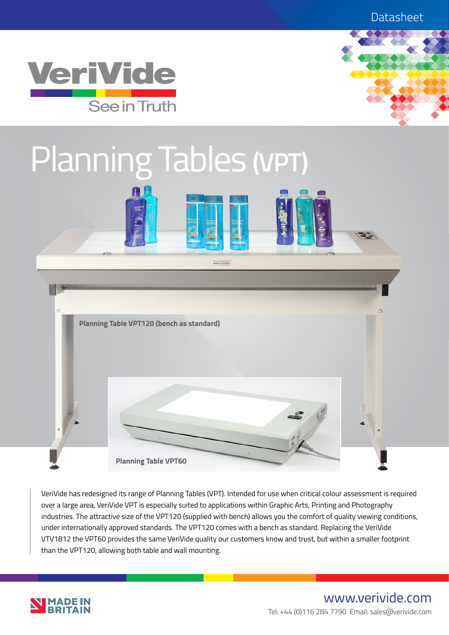



# Planning Tables **(VPT)**





VeriVide has redesigned its range of Planning Tables (VPT). Intended for use when critical colour assessment is required over a large area, VeriVide VPT is especially suited to applications within Graphic Arts, Printing and Photography industries. The attractive size of the VPT120 (supplied with bench) allows you the comfort of quality viewing conditions, under internationally approved standards. The VPT120 comes with a bench as standard. Replacing the VeriVide VTV1812 the VPT60 provides the same VeriVide quality our customers know and trust, but within a smaller footprint than the VPT120, allowing both table and wall mounting.



## www.verivide.com Tel: +44 (0)116 284 7790 Email: sales@verivide.com